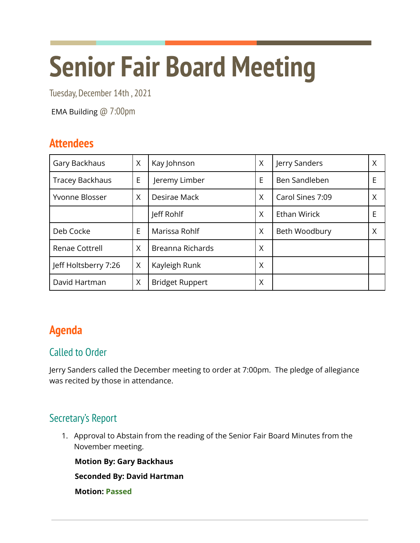# **Senior Fair Board Meeting**

Tuesday, December 14th , 2021

EMA Building @ 7:00pm

# **Attendees**

| Gary Backhaus          | X | Kay Johnson            | X | Jerry Sanders       | Χ |
|------------------------|---|------------------------|---|---------------------|---|
| <b>Tracey Backhaus</b> | E | Jeremy Limber          | E | Ben Sandleben       | Е |
| Yvonne Blosser         | X | Desirae Mack           | X | Carol Sines 7:09    | Χ |
|                        |   | Jeff Rohlf             | X | <b>Ethan Wirick</b> | E |
| Deb Cocke              | E | Marissa Rohlf          | X | Beth Woodbury       | Χ |
| Renae Cottrell         | X | Breanna Richards       | X |                     |   |
| Jeff Holtsberry 7:26   | X | Kayleigh Runk          | X |                     |   |
| David Hartman          | X | <b>Bridget Ruppert</b> | Χ |                     |   |

# **Agenda**

## Called to Order

Jerry Sanders called the December meeting to order at 7:00pm. The pledge of allegiance was recited by those in attendance.

## Secretary's Report

1. Approval to Abstain from the reading of the Senior Fair Board Minutes from the November meeting.

**Motion By: Gary Backhaus**

**Seconded By: David Hartman**

**Motion: Passed**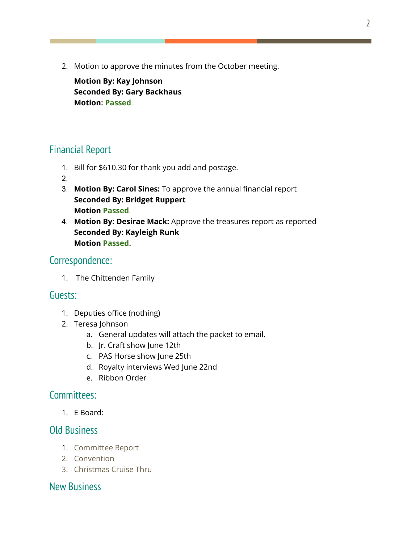2. Motion to approve the minutes from the October meeting.

**Motion By: Kay Johnson Seconded By: Gary Backhaus Motion: Passed**.

## Financial Report

- 1. Bill for \$610.30 for thank you add and postage.
- 2.
- 3. **Motion By: Carol Sines:** To approve the annual financial report **Seconded By: Bridget Ruppert Motion Passed**.
- 4. **Motion By: Desirae Mack:** Approve the treasures report as reported **Seconded By: Kayleigh Runk Motion Passed.**

#### Correspondence:

1. The Chittenden Family

#### Guests:

- 1. Deputies office (nothing)
- 2. Teresa Johnson
	- a. General updates will attach the packet to email.
	- b. Jr. Craft show June 12th
	- c. PAS Horse show June 25th
	- d. Royalty interviews Wed June 22nd
	- e. Ribbon Order

#### Committees:

1. E Board:

## Old Business

- 1. Committee Report
- 2. Convention
- 3. Christmas Cruise Thru

## New Business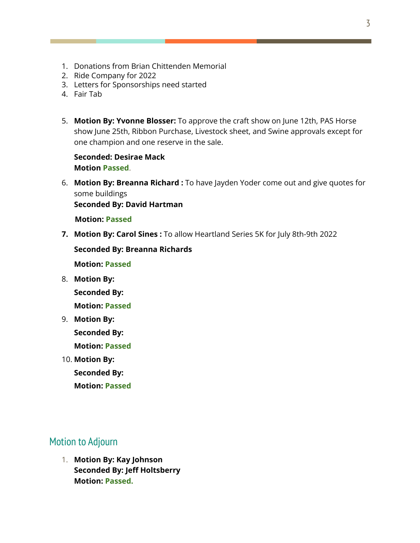- 1. Donations from Brian Chittenden Memorial
- 2. Ride Company for 2022
- 3. Letters for Sponsorships need started
- 4. Fair Tab
- 5. **Motion By: Yvonne Blosser:** To approve the craft show on June 12th, PAS Horse show June 25th, Ribbon Purchase, Livestock sheet, and Swine approvals except for one champion and one reserve in the sale.

#### **Seconded: Desirae Mack Motion Passed**.

6. **Motion By: Breanna Richard :** To have Jayden Yoder come out and give quotes for some buildings

**Seconded By: David Hartman**

**Motion: Passed**

**7. Motion By: Carol Sines :** To allow Heartland Series 5K for July 8th-9th 2022

**Seconded By: Breanna Richards**

**Motion: Passed**

8. **Motion By:**

**Seconded By:**

**Motion: Passed**

9. **Motion By:**

**Seconded By:**

**Motion: Passed**

10. **Motion By: Seconded By: Motion: Passed**

#### Motion to Adjourn

1. **Motion By: Kay Johnson Seconded By: Jeff Holtsberry Motion: Passed.**